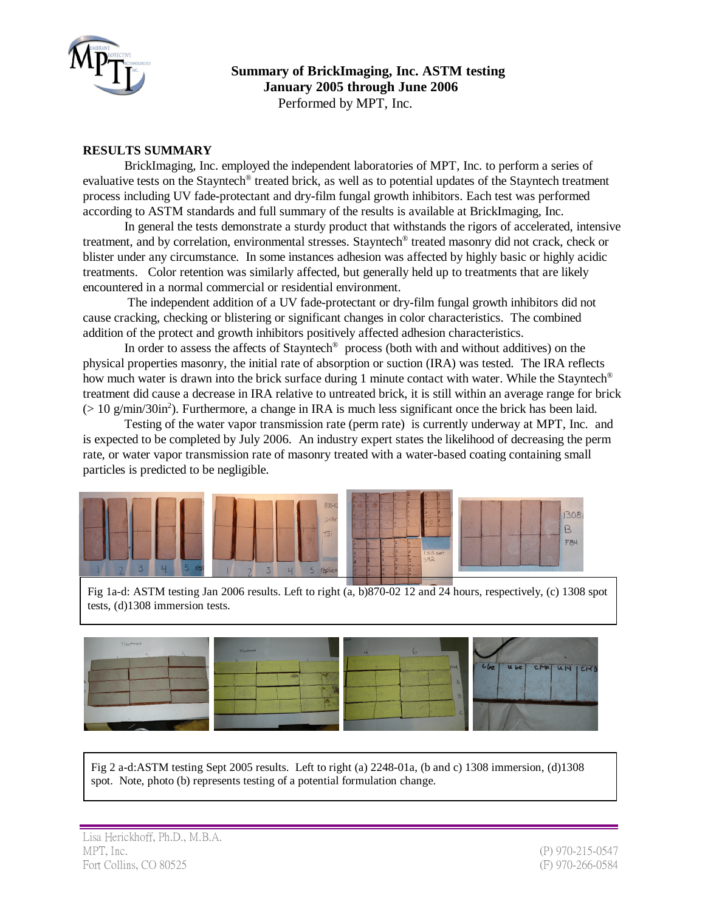

## **Summary of BrickImaging, Inc. ASTM testing January 2005 through June 2006** Performed by MPT, Inc.

## **RESULTS SUMMARY**

BrickImaging, Inc. employed the independent laboratories of MPT, Inc. to perform a series of evaluative tests on the Stayntech® treated brick, as well as to potential updates of the Stayntech treatment process including UV fade-protectant and dry-film fungal growth inhibitors. Each test was performed according to ASTM standards and full summary of the results is available at BrickImaging, Inc.

In general the tests demonstrate a sturdy product that withstands the rigors of accelerated, intensive treatment, and by correlation, environmental stresses. Stayntech® treated masonry did not crack, check or blister under any circumstance. In some instances adhesion was affected by highly basic or highly acidic treatments. Color retention was similarly affected, but generally held up to treatments that are likely encountered in a normal commercial or residential environment.

 The independent addition of a UV fade-protectant or dry-film fungal growth inhibitors did not cause cracking, checking or blistering or significant changes in color characteristics. The combined addition of the protect and growth inhibitors positively affected adhesion characteristics.

In order to assess the affects of Stayntech<sup>®</sup> process (both with and without additives) on the physical properties masonry, the initial rate of absorption or suction (IRA) was tested. The IRA reflects how much water is drawn into the brick surface during 1 minute contact with water. While the Stayntech<sup>®</sup> treatment did cause a decrease in IRA relative to untreated brick, it is still within an average range for brick  $($  > 10 g/min/30in<sup>2</sup>). Furthermore, a change in IRA is much less significant once the brick has been laid.

Testing of the water vapor transmission rate (perm rate) is currently underway at MPT, Inc. and is expected to be completed by July 2006. An industry expert states the likelihood of decreasing the perm rate, or water vapor transmission rate of masonry treated with a water-based coating containing small particles is predicted to be negligible.



Fig 1a-d: ASTM testing Jan 2006 results. Left to right (a, b)870-02 12 and 24 hours, respectively, (c) 1308 spot tests, (d)1308 immersion tests.



Fig 2 a-d:ASTM testing Sept 2005 results. Left to right (a) 2248-01a, (b and c) 1308 immersion, (d)1308 spot. Note, photo (b) represents testing of a potential formulation change.